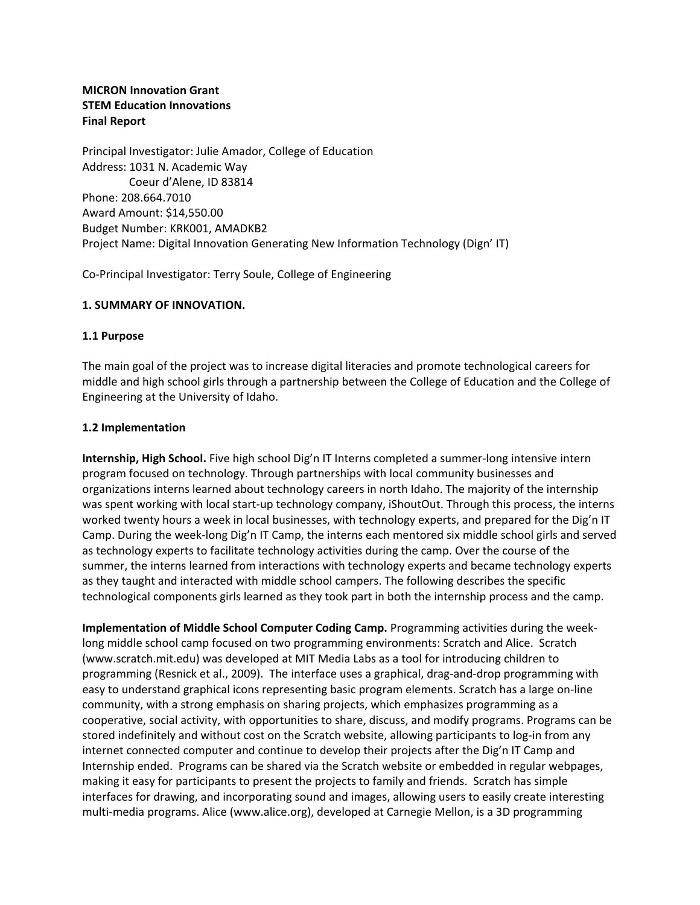# **MICRON Innovation Grant STEM Education Innovations Final Report**

Principal Investigator: Julie Amador, College of Education Address: 1031 N. Academic Way Coeur d'Alene, ID 83814 Phone: 208.664.7010 Award Amount: \$14,550.00 Budget Number: KRK001, AMADKB2 Project Name: Digital Innovation Generating New Information Technology (Dign' IT)

Co-Principal Investigator: Terry Soule, College of Engineering

#### **1. SUMMARY OF INNOVATION.**

#### **1.1 Purpose**

The main goal of the project was to increase digital literacies and promote technological careers for middle and high school girls through a partnership between the College of Education and the College of Engineering at the University of Idaho.

#### **1.2 Implementation**

**Internship, High School.** Five high school Dig'n IT Interns completed a summer-long intensive intern program focused on technology. Through partnerships with local community businesses and organizations interns learned about technology careers in north Idaho. The majority of the internship was spent working with local start-up technology company, iShoutOut. Through this process, the interns worked twenty hours a week in local businesses, with technology experts, and prepared for the Dig'n IT Camp. During the week-long Dig'n IT Camp, the interns each mentored six middle school girls and served as technology experts to facilitate technology activities during the camp. Over the course of the summer, the interns learned from interactions with technology experts and became technology experts as they taught and interacted with middle school campers. The following describes the specific technological components girls learned as they took part in both the internship process and the camp.

**Implementation of Middle School Computer Coding Camp.** Programming activities during the weeklong middle school camp focused on two programming environments: Scratch and Alice. Scratch [\(www.scratch.mit.edu\)](http://www.scratch.mit.edu/) was developed at MIT Media Labs as a tool for introducing children to programming (Resnick et al., 2009). The interface uses a graphical, drag-and-drop programming with easy to understand graphical icons representing basic program elements. Scratch has a large on-line community, with a strong emphasis on sharing projects, which emphasizes programming as a cooperative, social activity, with opportunities to share, discuss, and modify programs. Programs can be stored indefinitely and without cost on the Scratch website, allowing participants to log-in from any internet connected computer and continue to develop their projects after the Dig'n IT Camp and Internship ended. Programs can be shared via the Scratch website or embedded in regular webpages, making it easy for participants to present the projects to family and friends. Scratch has simple interfaces for drawing, and incorporating sound and images, allowing users to easily create interesting multi-media programs. Alice [\(www.alice.org\)](http://www.alice.org/), developed at Carnegie Mellon, is a 3D programming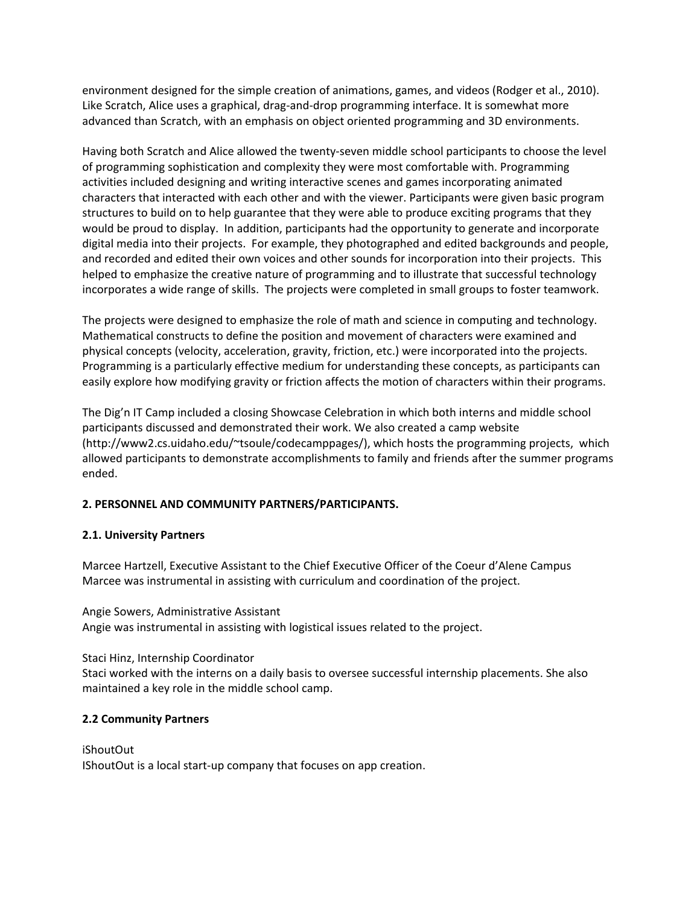environment designed for the simple creation of animations, games, and videos (Rodger et al., 2010). Like Scratch, Alice uses a graphical, drag-and-drop programming interface. It is somewhat more advanced than Scratch, with an emphasis on object oriented programming and 3D environments.

Having both Scratch and Alice allowed the twenty-seven middle school participants to choose the level of programming sophistication and complexity they were most comfortable with. Programming activities included designing and writing interactive scenes and games incorporating animated characters that interacted with each other and with the viewer. Participants were given basic program structures to build on to help guarantee that they were able to produce exciting programs that they would be proud to display. In addition, participants had the opportunity to generate and incorporate digital media into their projects. For example, they photographed and edited backgrounds and people, and recorded and edited their own voices and other sounds for incorporation into their projects. This helped to emphasize the creative nature of programming and to illustrate that successful technology incorporates a wide range of skills. The projects were completed in small groups to foster teamwork.

The projects were designed to emphasize the role of math and science in computing and technology. Mathematical constructs to define the position and movement of characters were examined and physical concepts (velocity, acceleration, gravity, friction, etc.) were incorporated into the projects. Programming is a particularly effective medium for understanding these concepts, as participants can easily explore how modifying gravity or friction affects the motion of characters within their programs.

The Dig'n IT Camp included a closing Showcase Celebration in which both interns and middle school participants discussed and demonstrated their work. We also created a camp website (http://www2.cs.uidaho.edu/~tsoule/codecamppages/), which hosts the programming projects, which allowed participants to demonstrate accomplishments to family and friends after the summer programs ended.

# **2. PERSONNEL AND COMMUNITY PARTNERS/PARTICIPANTS.**

## **2.1. University Partners**

Marcee Hartzell, Executive Assistant to the Chief Executive Officer of the Coeur d'Alene Campus Marcee was instrumental in assisting with curriculum and coordination of the project.

## Angie Sowers, Administrative Assistant

Angie was instrumental in assisting with logistical issues related to the project.

## Staci Hinz, Internship Coordinator

Staci worked with the interns on a daily basis to oversee successful internship placements. She also maintained a key role in the middle school camp.

# **2.2 Community Partners**

iShoutOut IShoutOut is a local start-up company that focuses on app creation.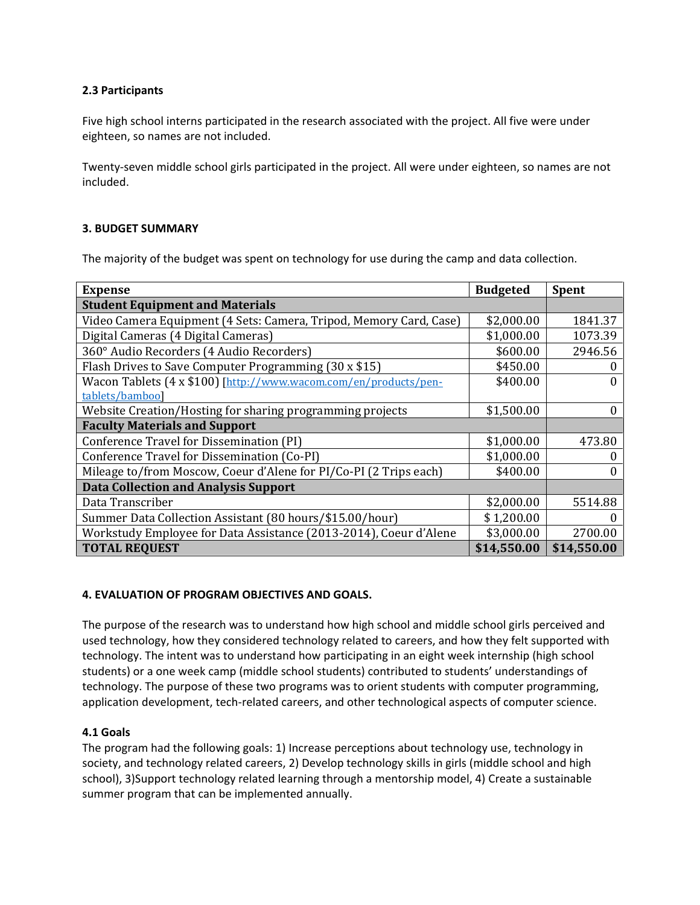# **2.3 Participants**

Five high school interns participated in the research associated with the project. All five were under eighteen, so names are not included.

Twenty-seven middle school girls participated in the project. All were under eighteen, so names are not included.

## **3. BUDGET SUMMARY**

The majority of the budget was spent on technology for use during the camp and data collection.

| <b>Expense</b>                                                     | <b>Budgeted</b> | <b>Spent</b> |
|--------------------------------------------------------------------|-----------------|--------------|
| <b>Student Equipment and Materials</b>                             |                 |              |
| Video Camera Equipment (4 Sets: Camera, Tripod, Memory Card, Case) | \$2,000.00      | 1841.37      |
| Digital Cameras (4 Digital Cameras)                                | \$1,000.00      | 1073.39      |
| 360° Audio Recorders (4 Audio Recorders)                           | \$600.00        | 2946.56      |
| Flash Drives to Save Computer Programming (30 x \$15)              | \$450.00        |              |
| Wacon Tablets (4 x \$100) [http://www.wacom.com/en/products/pen-   | \$400.00        |              |
| tablets/bamboo]                                                    |                 |              |
| Website Creation/Hosting for sharing programming projects          | \$1,500.00      | 0            |
| <b>Faculty Materials and Support</b>                               |                 |              |
| Conference Travel for Dissemination (PI)                           | \$1,000.00      | 473.80       |
| Conference Travel for Dissemination (Co-PI)                        | \$1,000.00      |              |
| Mileage to/from Moscow, Coeur d'Alene for PI/Co-PI (2 Trips each)  | \$400.00        |              |
| <b>Data Collection and Analysis Support</b>                        |                 |              |
| Data Transcriber                                                   | \$2,000.00      | 5514.88      |
| Summer Data Collection Assistant (80 hours/\$15.00/hour)           | \$1,200.00      |              |
| Workstudy Employee for Data Assistance (2013-2014), Coeur d'Alene  | \$3,000.00      | 2700.00      |
| <b>TOTAL REQUEST</b>                                               | \$14,550.00     | \$14,550.00  |

## **4. EVALUATION OF PROGRAM OBJECTIVES AND GOALS.**

The purpose of the research was to understand how high school and middle school girls perceived and used technology, how they considered technology related to careers, and how they felt supported with technology. The intent was to understand how participating in an eight week internship (high school students) or a one week camp (middle school students) contributed to students' understandings of technology. The purpose of these two programs was to orient students with computer programming, application development, tech-related careers, and other technological aspects of computer science.

## **4.1 Goals**

The program had the following goals: 1) Increase perceptions about technology use, technology in society, and technology related careers, 2) Develop technology skills in girls (middle school and high school), 3)Support technology related learning through a mentorship model, 4) Create a sustainable summer program that can be implemented annually.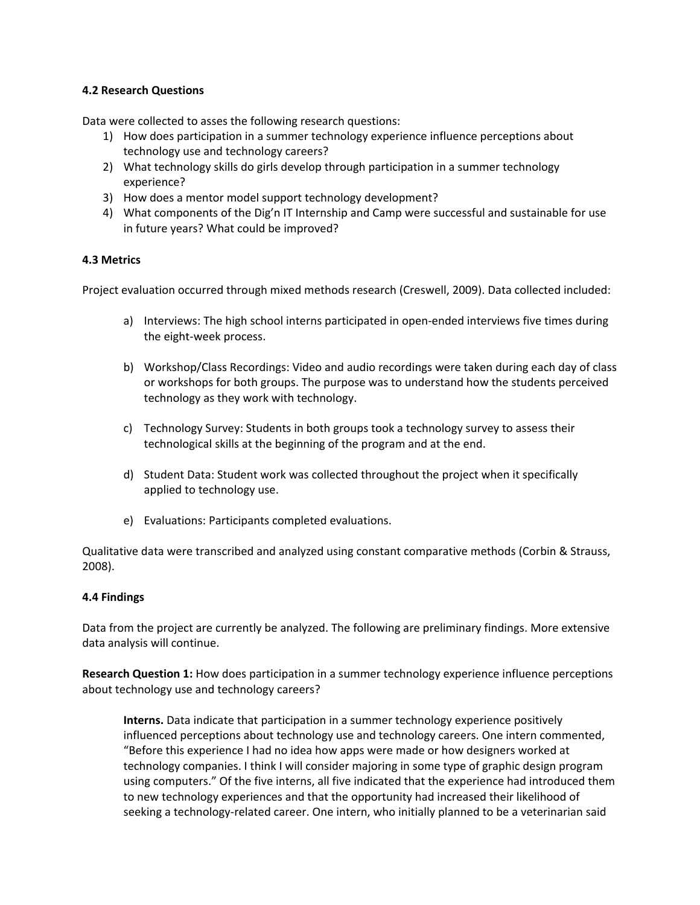## **4.2 Research Questions**

Data were collected to asses the following research questions:

- 1) How does participation in a summer technology experience influence perceptions about technology use and technology careers?
- 2) What technology skills do girls develop through participation in a summer technology experience?
- 3) How does a mentor model support technology development?
- 4) What components of the Dig'n IT Internship and Camp were successful and sustainable for use in future years? What could be improved?

## **4.3 Metrics**

Project evaluation occurred through mixed methods research (Creswell, 2009). Data collected included:

- a) Interviews: The high school interns participated in open-ended interviews five times during the eight-week process.
- b) Workshop/Class Recordings: Video and audio recordings were taken during each day of class or workshops for both groups. The purpose was to understand how the students perceived technology as they work with technology.
- c) Technology Survey: Students in both groups took a technology survey to assess their technological skills at the beginning of the program and at the end.
- d) Student Data: Student work was collected throughout the project when it specifically applied to technology use.
- e) Evaluations: Participants completed evaluations.

Qualitative data were transcribed and analyzed using constant comparative methods (Corbin & Strauss, 2008).

## **4.4 Findings**

Data from the project are currently be analyzed. The following are preliminary findings. More extensive data analysis will continue.

**Research Question 1:** How does participation in a summer technology experience influence perceptions about technology use and technology careers?

**Interns.** Data indicate that participation in a summer technology experience positively influenced perceptions about technology use and technology careers. One intern commented, "Before this experience I had no idea how apps were made or how designers worked at technology companies. I think I will consider majoring in some type of graphic design program using computers." Of the five interns, all five indicated that the experience had introduced them to new technology experiences and that the opportunity had increased their likelihood of seeking a technology-related career. One intern, who initially planned to be a veterinarian said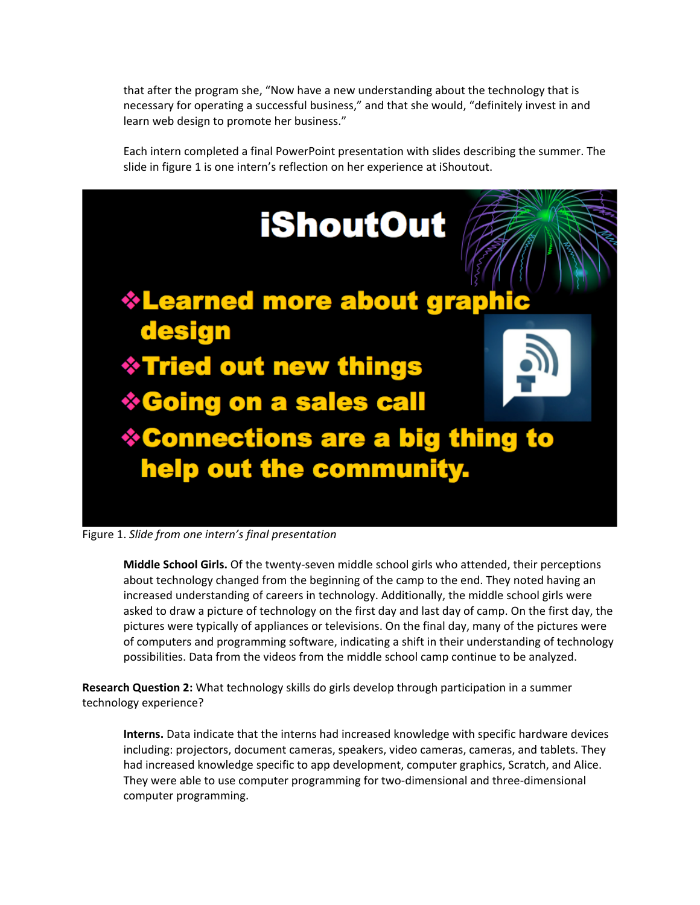that after the program she, "Now have a new understanding about the technology that is necessary for operating a successful business," and that she would, "definitely invest in and learn web design to promote her business."

Each intern completed a final PowerPoint presentation with slides describing the summer. The slide in figure 1 is one intern's reflection on her experience at iShoutout.



Figure 1. *Slide from one intern's final presentation*

**Middle School Girls.** Of the twenty-seven middle school girls who attended, their perceptions about technology changed from the beginning of the camp to the end. They noted having an increased understanding of careers in technology. Additionally, the middle school girls were asked to draw a picture of technology on the first day and last day of camp. On the first day, the pictures were typically of appliances or televisions. On the final day, many of the pictures were of computers and programming software, indicating a shift in their understanding of technology possibilities. Data from the videos from the middle school camp continue to be analyzed.

**Research Question 2:** What technology skills do girls develop through participation in a summer technology experience?

**Interns.** Data indicate that the interns had increased knowledge with specific hardware devices including: projectors, document cameras, speakers, video cameras, cameras, and tablets. They had increased knowledge specific to app development, computer graphics, Scratch, and Alice. They were able to use computer programming for two-dimensional and three-dimensional computer programming.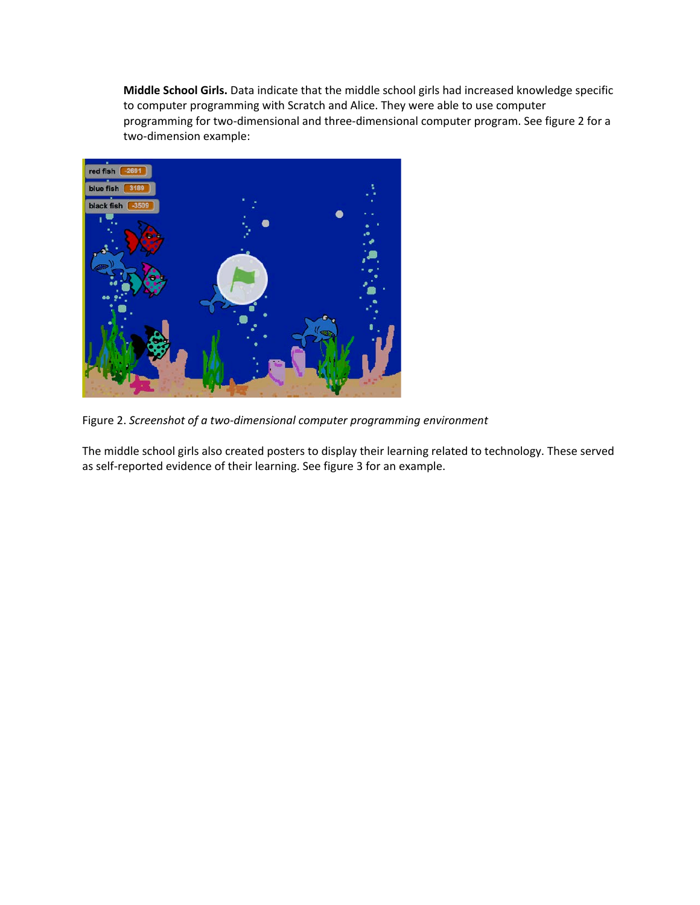**Middle School Girls.** Data indicate that the middle school girls had increased knowledge specific to computer programming with Scratch and Alice. They were able to use computer programming for two-dimensional and three-dimensional computer program. See figure 2 for a two-dimension example:



Figure 2. *Screenshot of a two-dimensional computer programming environment*

The middle school girls also created posters to display their learning related to technology. These served as self-reported evidence of their learning. See figure 3 for an example.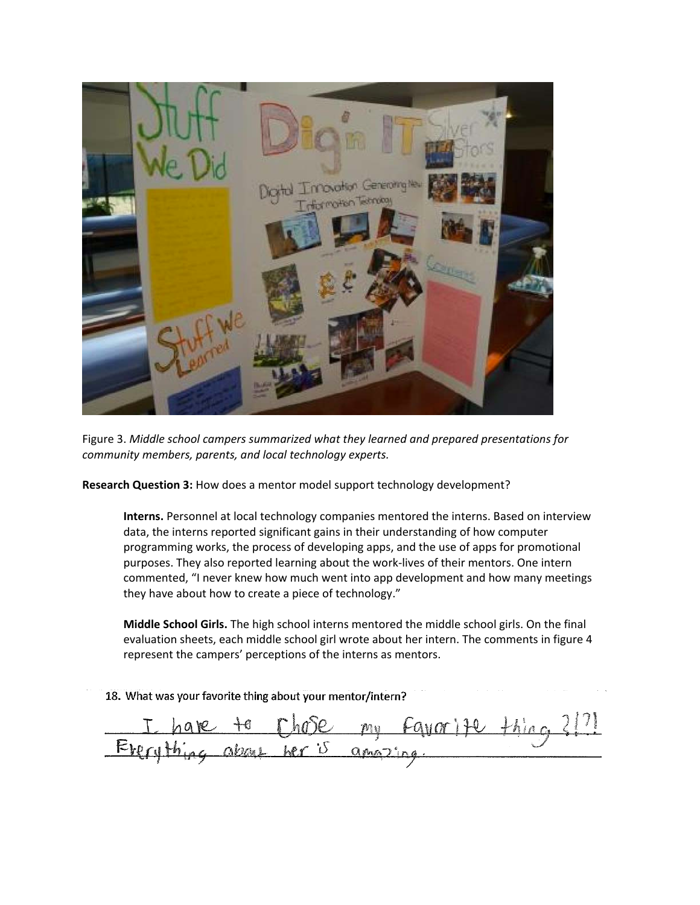![](_page_6_Picture_0.jpeg)

Figure 3. *Middle school campers summarized what they learned and prepared presentations for community members, parents, and local technology experts.*

**Research Question 3:** How does a mentor model support technology development?

**Interns.** Personnel at local technology companies mentored the interns. Based on interview data, the interns reported significant gains in their understanding of how computer programming works, the process of developing apps, and the use of apps for promotional purposes. They also reported learning about the work-lives of their mentors. One intern commented, "I never knew how much went into app development and how many meetings they have about how to create a piece of technology."

**Middle School Girls.** The high school interns mentored the middle school girls. On the final evaluation sheets, each middle school girl wrote about her intern. The comments in figure 4 represent the campers' perceptions of the interns as mentors.

18. What was your favorite thing about your mentor/intern?

Favor Ite ng about her is  $Q$ *MA* $2$ <sup>'</sup>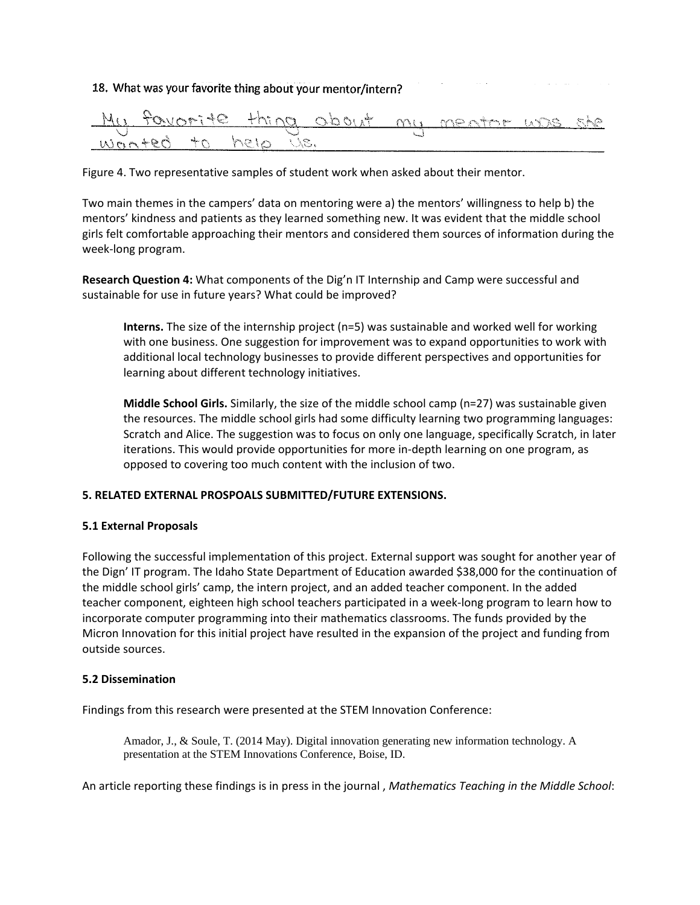# 18. What was your favorite thing about your mentor/intern?

![](_page_7_Picture_1.jpeg)

Figure 4. Two representative samples of student work when asked about their mentor.

Two main themes in the campers' data on mentoring were a) the mentors' willingness to help b) the mentors' kindness and patients as they learned something new. It was evident that the middle school girls felt comfortable approaching their mentors and considered them sources of information during the week-long program.

**Research Question 4:** What components of the Dig'n IT Internship and Camp were successful and sustainable for use in future years? What could be improved?

**Interns.** The size of the internship project (n=5) was sustainable and worked well for working with one business. One suggestion for improvement was to expand opportunities to work with additional local technology businesses to provide different perspectives and opportunities for learning about different technology initiatives.

**Middle School Girls.** Similarly, the size of the middle school camp (n=27) was sustainable given the resources. The middle school girls had some difficulty learning two programming languages: Scratch and Alice. The suggestion was to focus on only one language, specifically Scratch, in later iterations. This would provide opportunities for more in-depth learning on one program, as opposed to covering too much content with the inclusion of two.

## **5. RELATED EXTERNAL PROSPOALS SUBMITTED/FUTURE EXTENSIONS.**

#### **5.1 External Proposals**

Following the successful implementation of this project. External support was sought for another year of the Dign' IT program. The Idaho State Department of Education awarded \$38,000 for the continuation of the middle school girls' camp, the intern project, and an added teacher component. In the added teacher component, eighteen high school teachers participated in a week-long program to learn how to incorporate computer programming into their mathematics classrooms. The funds provided by the Micron Innovation for this initial project have resulted in the expansion of the project and funding from outside sources.

#### **5.2 Dissemination**

Findings from this research were presented at the STEM Innovation Conference:

Amador, J., & Soule, T. (2014 May). Digital innovation generating new information technology. A presentation at the STEM Innovations Conference, Boise, ID.

An article reporting these findings is in press in the journal , *Mathematics Teaching in the Middle School*: